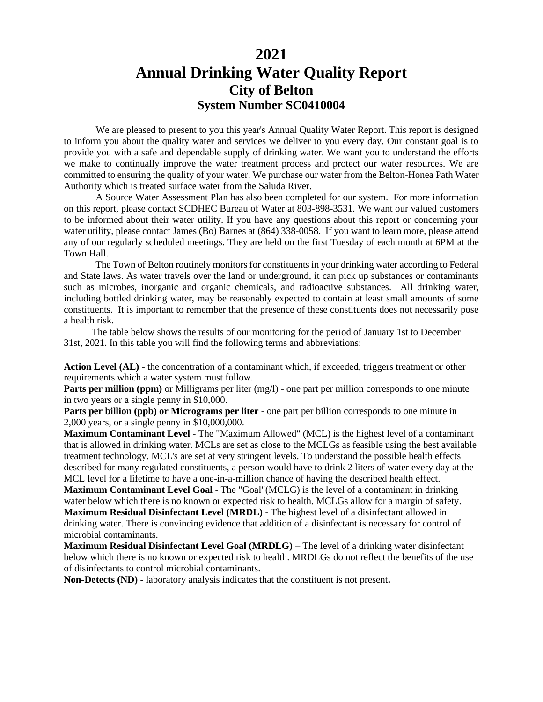## **2021**

# **Annual Drinking Water Quality Report City of Belton System Number SC0410004**

We are pleased to present to you this year's Annual Quality Water Report. This report is designed to inform you about the quality water and services we deliver to you every day. Our constant goal is to provide you with a safe and dependable supply of drinking water. We want you to understand the efforts we make to continually improve the water treatment process and protect our water resources. We are committed to ensuring the quality of your water. We purchase our water from the Belton-Honea Path Water Authority which is treated surface water from the Saluda River*.*

A Source Water Assessment Plan has also been completed for our system. For more information on this report, please contact SCDHEC Bureau of Water at 803-898-3531. We want our valued customers to be informed about their water utility. If you have any questions about this report or concerning your water utility, please contact James (Bo) Barnes at (864) 338-0058. If you want to learn more, please attend any of our regularly scheduled meetings. They are held on the first Tuesday of each month at 6PM at the Town Hall.

 The Town of Belton routinely monitors for constituents in your drinking water according to Federal and State laws. As water travels over the land or underground, it can pick up substances or contaminants such as microbes, inorganic and organic chemicals, and radioactive substances. All drinking water, including bottled drinking water, may be reasonably expected to contain at least small amounts of some constituents. It is important to remember that the presence of these constituents does not necessarily pose a health risk.

The table below shows the results of our monitoring for the period of January 1st to December 31st, 2021. In this table you will find the following terms and abbreviations:

**Action Level (AL)** - the concentration of a contaminant which, if exceeded, triggers treatment or other requirements which a water system must follow.

**Parts per million (ppm)** or Milligrams per liter (mg/l) - one part per million corresponds to one minute in two years or a single penny in \$10,000.

**Parts per billion (ppb) or Micrograms per liter -** one part per billion corresponds to one minute in 2,000 years, or a single penny in \$10,000,000.

**Maximum Contaminant Level** - The "Maximum Allowed" (MCL) is the highest level of a contaminant that is allowed in drinking water. MCLs are set as close to the MCLGs as feasible using the best available treatment technology. MCL's are set at very stringent levels. To understand the possible health effects described for many regulated constituents, a person would have to drink 2 liters of water every day at the MCL level for a lifetime to have a one-in-a-million chance of having the described health effect.

**Maximum Contaminant Level Goal** - The "Goal"(MCLG) is the level of a contaminant in drinking water below which there is no known or expected risk to health. MCLGs allow for a margin of safety. **Maximum Residual Disinfectant Level (MRDL)** - The highest level of a disinfectant allowed in drinking water. There is convincing evidence that addition of a disinfectant is necessary for control of microbial contaminants.

**Maximum Residual Disinfectant Level Goal (MRDLG) –** The level of a drinking water disinfectant below which there is no known or expected risk to health. MRDLGs do not reflect the benefits of the use of disinfectants to control microbial contaminants.

**Non-Detects (ND) -** laboratory analysis indicates that the constituent is not present**.**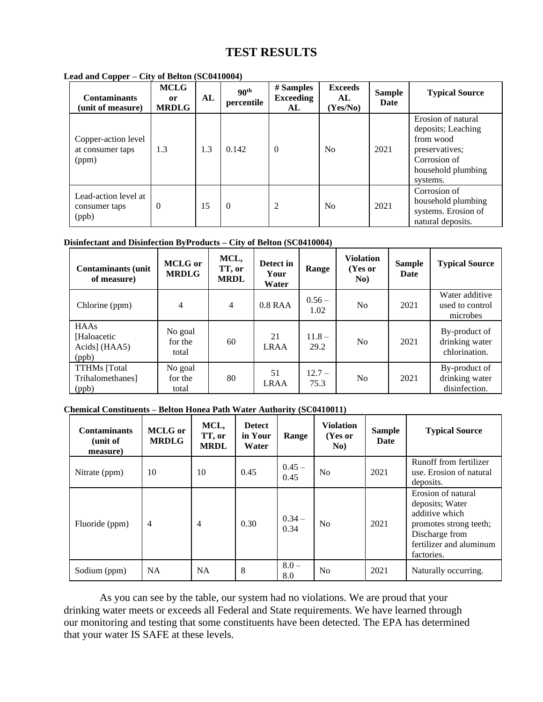# **TEST RESULTS**

| <b>Contaminants</b><br>(unit of measure)         | <b>MCLG</b><br>0r<br><b>MRDLG</b> | AL  | 90 <sup>th</sup><br>percentile | # Samples<br><b>Exceeding</b><br>AL | <b>Exceeds</b><br>AL<br>(Yes/No) | <b>Sample</b><br>Date | <b>Typical Source</b>                                                                                                     |
|--------------------------------------------------|-----------------------------------|-----|--------------------------------|-------------------------------------|----------------------------------|-----------------------|---------------------------------------------------------------------------------------------------------------------------|
| Copper-action level<br>at consumer taps<br>(ppm) | 1.3                               | 1.3 | 0.142                          | $\Omega$                            | N <sub>0</sub>                   | 2021                  | Erosion of natural<br>deposits; Leaching<br>from wood<br>preservatives;<br>Corrosion of<br>household plumbing<br>systems. |
| Lead-action level at<br>consumer taps<br>(ppb)   | $\Omega$                          | 15  | $\Omega$                       | 2                                   | No                               | 2021                  | Corrosion of<br>household plumbing<br>systems. Erosion of<br>natural deposits.                                            |

#### **Lead and Copper – City of Belton (SC0410004)**

#### **Disinfectant and Disinfection ByProducts – City of Belton (SC0410004)**

| <b>Contaminants (unit)</b><br>of measure)             | <b>MCLG</b> or<br><b>MRDLG</b> | MCL,<br>TT, or<br><b>MRDL</b> | Detect in<br>Your<br>Water | Range            | <b>Violation</b><br>(Yes or<br>No) | <b>Sample</b><br>Date | <b>Typical Source</b>                            |
|-------------------------------------------------------|--------------------------------|-------------------------------|----------------------------|------------------|------------------------------------|-----------------------|--------------------------------------------------|
| Chlorine (ppm)                                        | 4                              | $\overline{4}$                | $0.8$ RAA                  | $0.56 -$<br>1.02 | No.                                | 2021                  | Water additive<br>used to control<br>microbes    |
| <b>HAAs</b><br>[Haloacetic]<br>Acids] (HAA5)<br>(ppb) | No goal<br>for the<br>total    | 60                            | 21<br><b>LRAA</b>          | $11.8 -$<br>29.2 | N <sub>o</sub>                     | 2021                  | By-product of<br>drinking water<br>chlorination. |
| <b>TTHMs</b> [Total<br>Trihalomethanes]<br>(ppb)      | No goal<br>for the<br>total    | 80                            | 51<br><b>LRAA</b>          | $12.7 -$<br>75.3 | N <sub>0</sub>                     | 2021                  | By-product of<br>drinking water<br>disinfection. |

### **Chemical Constituents – Belton Honea Path Water Authority (SC0410011)**

| <b>Contaminants</b><br>(unit of<br>measure) | <b>MCLG</b> or<br><b>MRDLG</b> | MCL,<br>TT, or<br><b>MRDL</b> | <b>Detect</b><br>in Your<br>Water | Range            | <b>Violation</b><br>(Yes or<br>No) | <b>Sample</b><br>Date | <b>Typical Source</b>                                                                                                                        |
|---------------------------------------------|--------------------------------|-------------------------------|-----------------------------------|------------------|------------------------------------|-----------------------|----------------------------------------------------------------------------------------------------------------------------------------------|
| Nitrate (ppm)                               | 10                             | 10                            | 0.45                              | $0.45 -$<br>0.45 | N <sub>0</sub>                     | 2021                  | Runoff from fertilizer<br>use. Erosion of natural<br>deposits.                                                                               |
| Fluoride (ppm)                              | 4                              | $\overline{4}$                | 0.30                              | $0.34 -$<br>0.34 | N <sub>0</sub>                     | 2021                  | Erosion of natural<br>deposits; Water<br>additive which<br>promotes strong teeth;<br>Discharge from<br>fertilizer and aluminum<br>factories. |
| Sodium (ppm)                                | <b>NA</b>                      | <b>NA</b>                     | 8                                 | $8.0 -$<br>8.0   | N <sub>0</sub>                     | 2021                  | Naturally occurring.                                                                                                                         |

As you can see by the table, our system had no violations. We are proud that your drinking water meets or exceeds all Federal and State requirements. We have learned through our monitoring and testing that some constituents have been detected. The EPA has determined that your water IS SAFE at these levels.